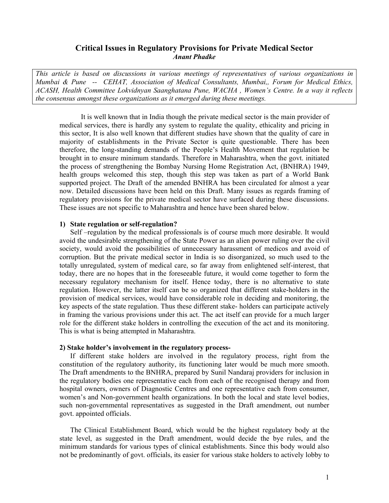# **Critical Issues in Regulatory Provisions for Private Medical Sector**  *Anant Phadke*

*This article is based on discussions in various meetings of representatives of various organizations in Mumbai & Pune -- CEHAT, Association of Medical Consultants, Mumbai,, Forum for Medical Ethics, ACASH, Health Committee Lokvidnyan Saanghatana Pune, WACHA , Women's Centre. In a way it reflects the consensus amongst these organizations as it emerged during these meetings.* 

It is well known that in India though the private medical sector is the main provider of medical services, there is hardly any system to regulate the quality, ethicality and pricing in this sector, It is also well known that different studies have shown that the quality of care in majority of establishments in the Private Sector is quite questionable. There has been therefore, the long-standing demands of the People's Health Movement that regulation be brought in to ensure minimum standards. Therefore in Maharashtra, when the govt. initiated the process of strengthening the Bombay Nursing Home Registration Act, (BNHRA) 1949, health groups welcomed this step, though this step was taken as part of a World Bank supported project. The Draft of the amended BNHRA has been circulated for almost a year now. Detailed discussions have been held on this Draft. Many issues as regards framing of regulatory provisions for the private medical sector have surfaced during these discussions. These issues are not specific to Maharashtra and hence have been shared below.

### **1) State regulation or self-regulation?**

Self –regulation by the medical professionals is of course much more desirable. It would avoid the undesirable strengthening of the State Power as an alien power ruling over the civil society, would avoid the possibilities of unnecessary harassment of medicos and avoid of corruption. But the private medical sector in India is so disorganized, so much used to the totally unregulated, system of medical care, so far away from enlightened self-interest, that today, there are no hopes that in the foreseeable future, it would come together to form the necessary regulatory mechanism for itself. Hence today, there is no alternative to state regulation. However, the latter itself can be so organized that different stake-holders in the provision of medical services, would have considerable role in deciding and monitoring, the key aspects of the state regulation. Thus these different stake- holders can participate actively in framing the various provisions under this act. The act itself can provide for a much larger role for the different stake holders in controlling the execution of the act and its monitoring. This is what is being attempted in Maharashtra.

#### **2) Stake holder's involvement in the regulatory process-**

If different stake holders are involved in the regulatory process, right from the constitution of the regulatory authority, its functioning later would be much more smooth. The Draft amendments to the BNHRA, prepared by Sunil Nandaraj providers for inclusion in the regulatory bodies one representative each from each of the recognised therapy and from hospital owners, owners of Diagnostic Centres and one representative each from consumer, women's and Non-government health organizations. In both the local and state level bodies, such non-governmental representatives as suggested in the Draft amendment, out number govt. appointed officials.

The Clinical Establishment Board, which would be the highest regulatory body at the state level, as suggested in the Draft amendment, would decide the bye rules, and the minimum standards for various types of clinical establishments. Since this body would also not be predominantly of govt. officials, its easier for various stake holders to actively lobby to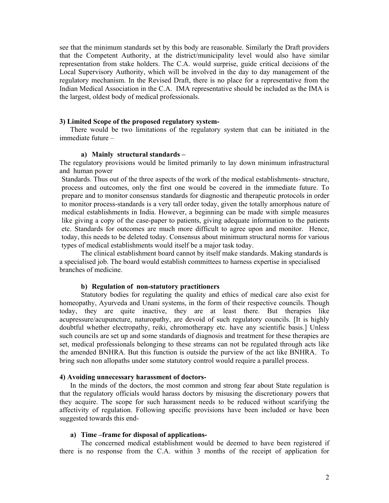see that the minimum standards set by this body are reasonable. Similarly the Draft providers that the Competent Authority, at the district/municipality level would also have similar representation from stake holders. The C.A. would surprise, guide critical decisions of the Local Supervisory Authority, which will be involved in the day to day management of the regulatory mechanism. In the Revised Draft, there is no place for a representative from the Indian Medical Association in the C.A. IMA representative should be included as the IMA is the largest, oldest body of medical professionals.

### **3) Limited Scope of the proposed regulatory system-**

There would be two limitations of the regulatory system that can be initiated in the immediate future –

#### **a) Mainly structural standards –**

The regulatory provisions would be limited primarily to lay down minimum infrastructural and human power

 Standards. Thus out of the three aspects of the work of the medical establishments- structure, process and outcomes, only the first one would be covered in the immediate future. To prepare and to monitor consensus standards for diagnostic and therapeutic protocols in order to monitor process-standards is a very tall order today, given the totally amorphous nature of medical establishments in India. However, a beginning can be made with simple measures like giving a copy of the case-paper to patients, giving adequate information to the patients etc. Standards for outcomes are much more difficult to agree upon and monitor. Hence, today, this needs to be deleted today. Consensus about minimum structural norms for various types of medical establishments would itself be a major task today.

The clinical establishment board cannot by itself make standards. Making standards is a specialised job. The board would establish committees to harness expertise in specialised branches of medicine.

#### **b) Regulation of non-statutory practitioners**

Statutory bodies for regulating the quality and ethics of medical care also exist for homeopathy, Ayurveda and Unani systems, in the form of their respective councils. Though today, they are quite inactive, they are at least there. But therapies like acupressure/acupuncture, naturopathy, are devoid of such regulatory councils. [It is highly doubtful whether electropathy, reiki, chromotherapy etc. have any scientific basis.] Unless such councils are set up and some standards of diagnosis and treatment for these therapies are set, medical professionals belonging to these streams can not be regulated through acts like the amended BNHRA. But this function is outside the purview of the act like BNHRA. To bring such non allopaths under some statutory control would require a parallel process.

#### **4) Avoiding unnecessary harassment of doctors-**

In the minds of the doctors, the most common and strong fear about State regulation is that the regulatory officials would harass doctors by misusing the discretionary powers that they acquire. The scope for such harassment needs to be reduced without scarifying the affectivity of regulation. Following specific provisions have been included or have been suggested towards this end-

#### **a) Time –frame for disposal of applications-**

The concerned medical establishment would be deemed to have been registered if there is no response from the C.A. within 3 months of the receipt of application for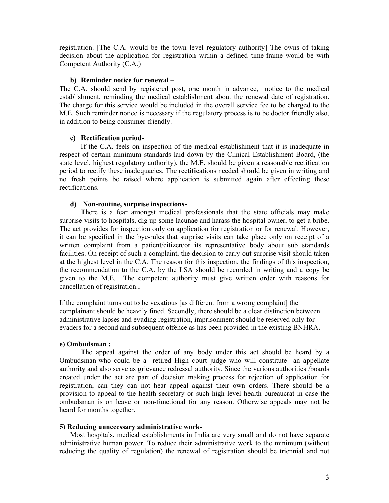registration. [The C.A. would be the town level regulatory authority] The owns of taking decision about the application for registration within a defined time-frame would be with Competent Authority (C.A.)

### **b) Reminder notice for renewal –**

The C.A. should send by registered post, one month in advance, notice to the medical establishment, reminding the medical establishment about the renewal date of registration. The charge for this service would be included in the overall service fee to be charged to the M.E. Such reminder notice is necessary if the regulatory process is to be doctor friendly also, in addition to being consumer-friendly.

### **c) Rectification period-**

If the C.A. feels on inspection of the medical establishment that it is inadequate in respect of certain minimum standards laid down by the Clinical Establishment Board, (the state level, highest regulatory authority), the M.E. should be given a reasonable rectification period to rectify these inadequacies. The rectifications needed should be given in writing and no fresh points be raised where application is submitted again after effecting these rectifications.

### **d) Non-routine, surprise inspections-**

There is a fear amongst medical professionals that the state officials may make surprise visits to hospitals, dig up some lacunae and harass the hospital owner, to get a bribe. The act provides for inspection only on application for registration or for renewal. However, it can be specified in the bye-rules that surprise visits can take place only on receipt of a written complaint from a patient/citizen/or its representative body about sub standards facilities. On receipt of such a complaint, the decision to carry out surprise visit should taken at the highest level in the C.A. The reason for this inspection, the findings of this inspection, the recommendation to the C.A. by the LSA should be recorded in writing and a copy be given to the M.E. The competent authority must give written order with reasons for cancellation of registration..

If the complaint turns out to be vexatious [as different from a wrong complaint] the complainant should be heavily fined. Secondly, there should be a clear distinction between administrative lapses and evading registration, imprisonment should be reserved only for evaders for a second and subsequent offence as has been provided in the existing BNHRA.

### **e) Ombudsman :**

The appeal against the order of any body under this act should be heard by a Ombudsman-who could be a retired High court judge who will constitute an appellate authority and also serve as grievance redressal authority. Since the various authorities /boards created under the act are part of decision making process for rejection of application for registration, can they can not hear appeal against their own orders. There should be a provision to appeal to the health secretary or such high level health bureaucrat in case the ombudsman is on leave or non-functional for any reason. Otherwise appeals may not be heard for months together.

## **5) Reducing unnecessary administrative work-**

Most hospitals, medical establishments in India are very small and do not have separate administrative human power. To reduce their administrative work to the minimum (without reducing the quality of regulation) the renewal of registration should be triennial and not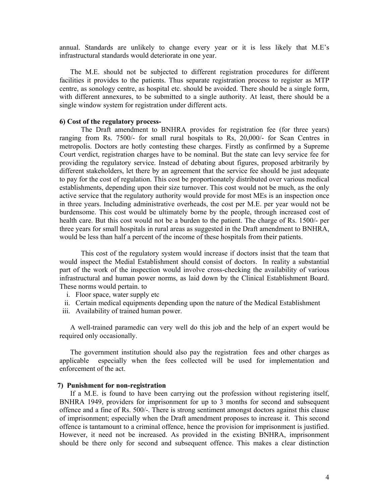annual. Standards are unlikely to change every year or it is less likely that M.E's infrastructural standards would deteriorate in one year.

The M.E. should not be subjected to different registration procedures for different facilities it provides to the patients. Thus separate registration process to register as MTP centre, as sonology centre, as hospital etc. should be avoided. There should be a single form, with different annexures, to be submitted to a single authority. At least, there should be a single window system for registration under different acts.

### **6) Cost of the regulatory process-**

The Draft amendment to BNHRA provides for registration fee (for three years) ranging from Rs. 7500/- for small rural hospitals to Rs, 20,000/- for Scan Centres in metropolis. Doctors are hotly contesting these charges. Firstly as confirmed by a Supreme Court verdict, registration charges have to be nominal. But the state can levy service fee for providing the regulatory service. Instead of debating about figures, proposed arbitrarily by different stakeholders, let there by an agreement that the service fee should be just adequate to pay for the cost of regulation. This cost be proportionately distributed over various medical establishments, depending upon their size turnover. This cost would not be much, as the only active service that the regulatory authority would provide for most MEs is an inspection once in three years. Including administrative overheads, the cost per M.E. per year would not be burdensome. This cost would be ultimately borne by the people, through increased cost of health care. But this cost would not be a burden to the patient. The charge of Rs. 1500/- per three years for small hospitals in rural areas as suggested in the Draft amendment to BNHRA, would be less than half a percent of the income of these hospitals from their patients.

 This cost of the regulatory system would increase if doctors insist that the team that would inspect the Medial Establishment should consist of doctors. In reality a substantial part of the work of the inspection would involve cross-checking the availability of various infrastructural and human power norms, as laid down by the Clinical Establishment Board. These norms would pertain. to

- i. Floor space, water supply etc
- ii. Certain medical equipments depending upon the nature of the Medical Establishment
- iii. Availability of trained human power.

A well-trained paramedic can very well do this job and the help of an expert would be required only occasionally.

The government institution should also pay the registration fees and other charges as applicable especially when the fees collected will be used for implementation and enforcement of the act.

### **7) Punishment for non-registration**

If a M.E. is found to have been carrying out the profession without registering itself, BNHRA 1949, providers for imprisonment for up to 3 months for second and subsequent offence and a fine of Rs. 500/-. There is strong sentiment amongst doctors against this clause of imprisonment; especially when the Draft amendment proposes to increase it. This second offence is tantamount to a criminal offence, hence the provision for imprisonment is justified. However, it need not be increased. As provided in the existing BNHRA, imprisonment should be there only for second and subsequent offence. This makes a clear distinction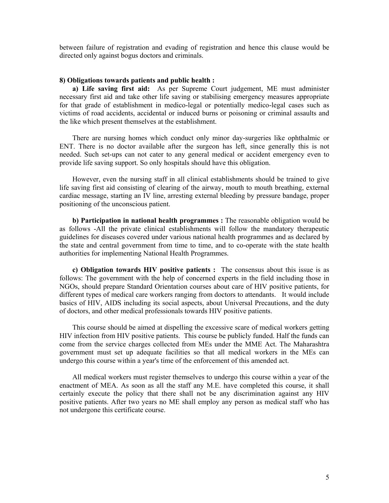between failure of registration and evading of registration and hence this clause would be directed only against bogus doctors and criminals.

### **8) Obligations towards patients and public health :**

**a) Life saving first aid:** As per Supreme Court judgement, ME must administer necessary first aid and take other life saving or stabilising emergency measures appropriate for that grade of establishment in medico-legal or potentially medico-legal cases such as victims of road accidents, accidental or induced burns or poisoning or criminal assaults and the like which present themselves at the establishment.

There are nursing homes which conduct only minor day-surgeries like ophthalmic or ENT. There is no doctor available after the surgeon has left, since generally this is not needed. Such set-ups can not cater to any general medical or accident emergency even to provide life saving support. So only hospitals should have this obligation.

However, even the nursing staff in all clinical establishments should be trained to give life saving first aid consisting of clearing of the airway, mouth to mouth breathing, external cardiac message, starting an IV line, arresting external bleeding by pressure bandage, proper positioning of the unconscious patient.

**b) Participation in national health programmes :** The reasonable obligation would be as follows -All the private clinical establishments will follow the mandatory therapeutic guidelines for diseases covered under various national health programmes and as declared by the state and central government from time to time, and to co-operate with the state health authorities for implementing National Health Programmes.

**c) Obligation towards HIV positive patients :** The consensus about this issue is as follows: The government with the help of concerned experts in the field including those in NGOs, should prepare Standard Orientation courses about care of HIV positive patients, for different types of medical care workers ranging from doctors to attendants. It would include basics of HIV, AIDS including its social aspects, about Universal Precautions, and the duty of doctors, and other medical professionals towards HIV positive patients.

This course should be aimed at dispelling the excessive scare of medical workers getting HIV infection from HIV positive patients. This course be publicly funded. Half the funds can come from the service charges collected from MEs under the MME Act. The Maharashtra government must set up adequate facilities so that all medical workers in the MEs can undergo this course within a year's time of the enforcement of this amended act.

All medical workers must register themselves to undergo this course within a year of the enactment of MEA. As soon as all the staff any M.E. have completed this course, it shall certainly execute the policy that there shall not be any discrimination against any HIV positive patients. After two years no ME shall employ any person as medical staff who has not undergone this certificate course.